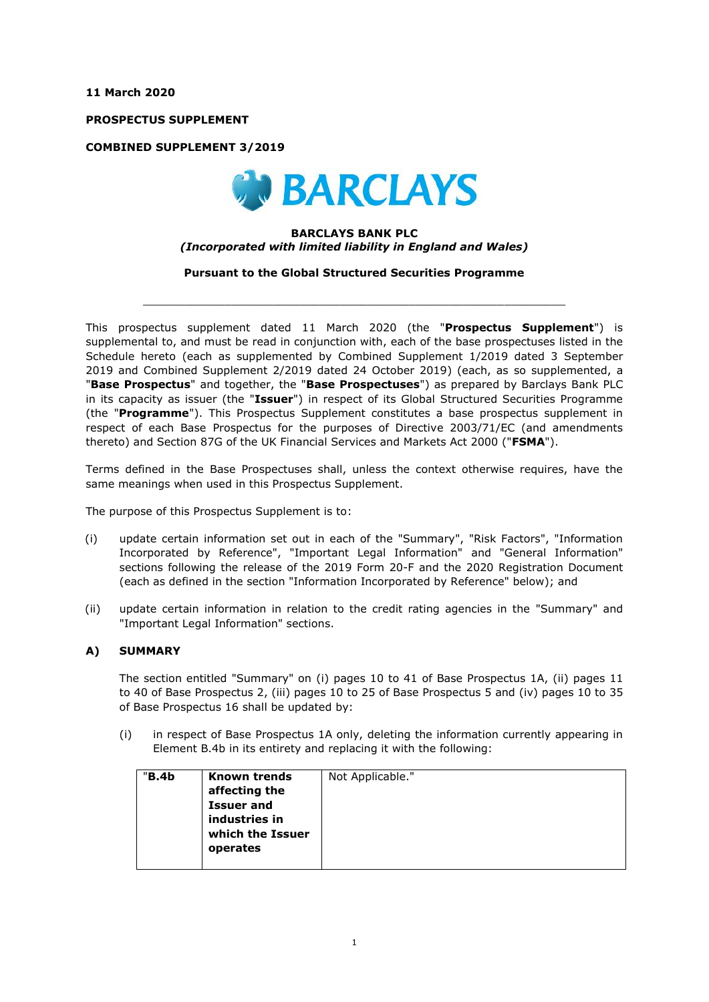**11 March 2020**

**PROSPECTUS SUPPLEMENT**

**COMBINED SUPPLEMENT 3/2019**



### **BARCLAYS BANK PLC** *(Incorporated with limited liability in England and Wales)*

**Pursuant to the Global Structured Securities Programme**

 $\_$  , and the set of the set of the set of the set of the set of the set of the set of the set of the set of the set of the set of the set of the set of the set of the set of the set of the set of the set of the set of th

This prospectus supplement dated 11 March 2020 (the "**Prospectus Supplement**") is supplemental to, and must be read in conjunction with, each of the base prospectuses listed in the Schedule hereto (each as supplemented by Combined Supplement 1/2019 dated 3 September 2019 and Combined Supplement 2/2019 dated 24 October 2019) (each, as so supplemented, a "**Base Prospectus**" and together, the "**Base Prospectuses**") as prepared by Barclays Bank PLC in its capacity as issuer (the "**Issuer**") in respect of its Global Structured Securities Programme (the "**Programme**"). This Prospectus Supplement constitutes a base prospectus supplement in respect of each Base Prospectus for the purposes of Directive 2003/71/EC (and amendments thereto) and Section 87G of the UK Financial Services and Markets Act 2000 ("**FSMA**").

Terms defined in the Base Prospectuses shall, unless the context otherwise requires, have the same meanings when used in this Prospectus Supplement.

The purpose of this Prospectus Supplement is to:

- (i) update certain information set out in each of the "Summary", "Risk Factors", "Information Incorporated by Reference", "Important Legal Information" and "General Information" sections following the release of the 2019 Form 20-F and the 2020 Registration Document (each as defined in the section "Information Incorporated by Reference" below); and
- (ii) update certain information in relation to the credit rating agencies in the "Summary" and "Important Legal Information" sections.

### **A) SUMMARY**

The section entitled "Summary" on (i) pages 10 to 41 of Base Prospectus 1A, (ii) pages 11 to 40 of Base Prospectus 2, (iii) pages 10 to 25 of Base Prospectus 5 and (iv) pages 10 to 35 of Base Prospectus 16 shall be updated by:

(i) in respect of Base Prospectus 1A only, deleting the information currently appearing in Element B.4b in its entirety and replacing it with the following:

| "B.4b | <b>Known trends</b><br>affecting the<br><b>Issuer and</b><br>industries in<br>which the Issuer<br>operates | Not Applicable." |
|-------|------------------------------------------------------------------------------------------------------------|------------------|
|       |                                                                                                            |                  |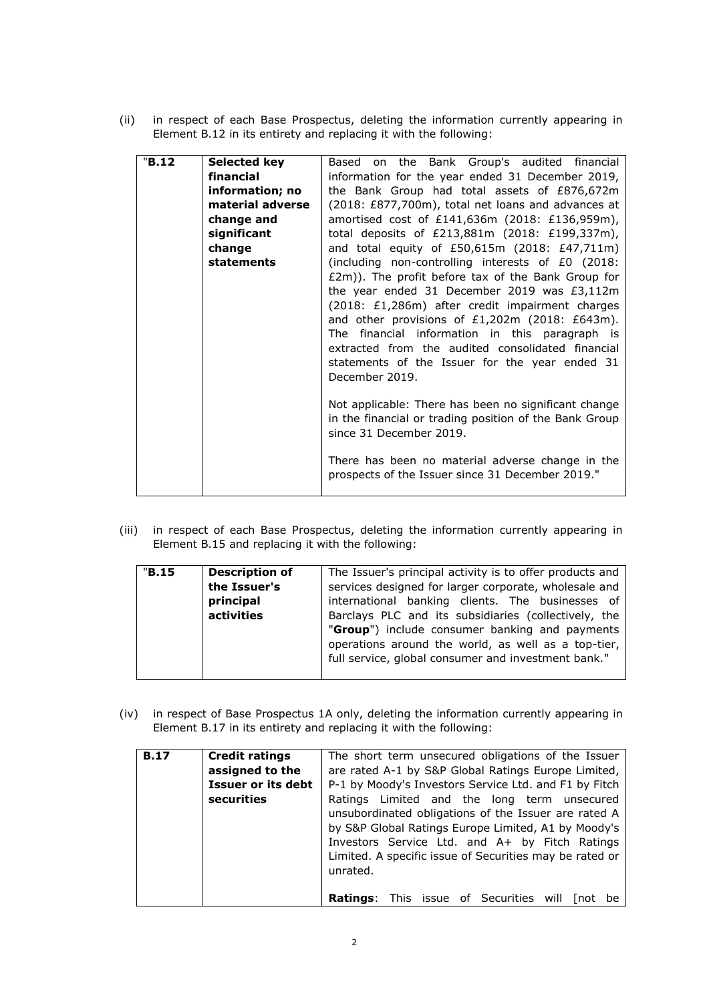(ii) in respect of each Base Prospectus, deleting the information currently appearing in Element B.12 in its entirety and replacing it with the following:

| "B.12 | Selected key     | Based on the Bank Group's audited financial            |
|-------|------------------|--------------------------------------------------------|
|       | financial        | information for the year ended 31 December 2019,       |
|       | information; no  | the Bank Group had total assets of £876,672m           |
|       | material adverse | (2018: £877,700m), total net loans and advances at     |
|       | change and       | amortised cost of £141,636m (2018: £136,959m),         |
|       | significant      | total deposits of £213,881m (2018: £199,337m),         |
|       | change           | and total equity of £50,615m (2018: £47,711m)          |
|       |                  |                                                        |
|       | statements       | (including non-controlling interests of £0 (2018:      |
|       |                  | £2m)). The profit before tax of the Bank Group for     |
|       |                  | the year ended 31 December 2019 was £3,112m            |
|       |                  | (2018: £1,286m) after credit impairment charges        |
|       |                  | and other provisions of $£1,202m$ (2018: £643m).       |
|       |                  | The financial information in this paragraph is         |
|       |                  | extracted from the audited consolidated financial      |
|       |                  | statements of the Issuer for the year ended 31         |
|       |                  |                                                        |
|       |                  | December 2019.                                         |
|       |                  |                                                        |
|       |                  | Not applicable: There has been no significant change   |
|       |                  | in the financial or trading position of the Bank Group |
|       |                  | since 31 December 2019.                                |
|       |                  |                                                        |
|       |                  | There has been no material adverse change in the       |
|       |                  | prospects of the Issuer since 31 December 2019."       |
|       |                  |                                                        |
|       |                  |                                                        |

(iii) in respect of each Base Prospectus, deleting the information currently appearing in Element B.15 and replacing it with the following:

| "B.15" | <b>Description of</b> | The Issuer's principal activity is to offer products and |
|--------|-----------------------|----------------------------------------------------------|
|        |                       |                                                          |
|        | the Issuer's          | services designed for larger corporate, wholesale and    |
|        | principal             | international banking clients. The businesses of         |
|        | activities            | Barclays PLC and its subsidiaries (collectively, the     |
|        |                       | "Group") include consumer banking and payments           |
|        |                       | operations around the world, as well as a top-tier,      |
|        |                       | full service, global consumer and investment bank."      |
|        |                       |                                                          |

(iv) in respect of Base Prospectus 1A only, deleting the information currently appearing in Element B.17 in its entirety and replacing it with the following:

| <b>B.17</b> | <b>Credit ratings</b> | The short term unsecured obligations of the Issuer           |
|-------------|-----------------------|--------------------------------------------------------------|
|             | assigned to the       | are rated A-1 by S&P Global Ratings Europe Limited,          |
|             | Issuer or its debt    | P-1 by Moody's Investors Service Ltd. and F1 by Fitch        |
|             | securities            | Ratings Limited and the long term unsecured                  |
|             |                       | unsubordinated obligations of the Issuer are rated A         |
|             |                       | by S&P Global Ratings Europe Limited, A1 by Moody's          |
|             |                       | Investors Service Ltd. and A+ by Fitch Ratings               |
|             |                       | Limited. A specific issue of Securities may be rated or      |
|             |                       | unrated.                                                     |
|             |                       |                                                              |
|             |                       | <b>Ratings:</b> This issue of Securities will<br>I not<br>be |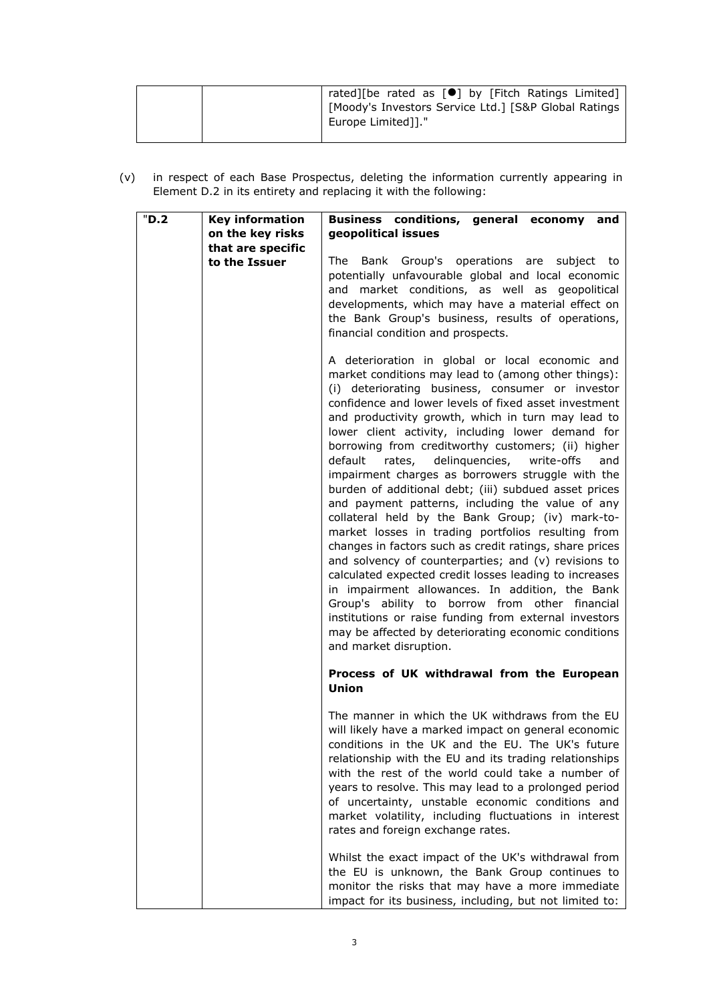|  | rated][be rated as [ <sup>●</sup> ] by [Fitch Ratings Limited] |  |  |  |  |
|--|----------------------------------------------------------------|--|--|--|--|
|  | [Moody's Investors Service Ltd.] [S&P Global Ratings           |  |  |  |  |
|  | Europe Limited]]."                                             |  |  |  |  |
|  |                                                                |  |  |  |  |

(v) in respect of each Base Prospectus, deleting the information currently appearing in Element D.2 in its entirety and replacing it with the following:

| "D.2" | <b>Key information</b> | Business conditions, general economy and                                                                                                                                                                                                                                                                                                                                                                                                                                                                                                                                                                                                                                                                                                                                                                                                                                                                                                                                                                                                                                                                                                            |
|-------|------------------------|-----------------------------------------------------------------------------------------------------------------------------------------------------------------------------------------------------------------------------------------------------------------------------------------------------------------------------------------------------------------------------------------------------------------------------------------------------------------------------------------------------------------------------------------------------------------------------------------------------------------------------------------------------------------------------------------------------------------------------------------------------------------------------------------------------------------------------------------------------------------------------------------------------------------------------------------------------------------------------------------------------------------------------------------------------------------------------------------------------------------------------------------------------|
|       | on the key risks       | geopolitical issues                                                                                                                                                                                                                                                                                                                                                                                                                                                                                                                                                                                                                                                                                                                                                                                                                                                                                                                                                                                                                                                                                                                                 |
|       | that are specific      |                                                                                                                                                                                                                                                                                                                                                                                                                                                                                                                                                                                                                                                                                                                                                                                                                                                                                                                                                                                                                                                                                                                                                     |
|       | to the Issuer          | Bank Group's operations are subject to<br>The<br>potentially unfavourable global and local economic<br>and market conditions, as well as geopolitical<br>developments, which may have a material effect on<br>the Bank Group's business, results of operations,<br>financial condition and prospects.                                                                                                                                                                                                                                                                                                                                                                                                                                                                                                                                                                                                                                                                                                                                                                                                                                               |
|       |                        | A deterioration in global or local economic and<br>market conditions may lead to (among other things):<br>(i) deteriorating business, consumer or investor<br>confidence and lower levels of fixed asset investment<br>and productivity growth, which in turn may lead to<br>lower client activity, including lower demand for<br>borrowing from creditworthy customers; (ii) higher<br>default<br>rates, delinquencies, write-offs<br>and<br>impairment charges as borrowers struggle with the<br>burden of additional debt; (iii) subdued asset prices<br>and payment patterns, including the value of any<br>collateral held by the Bank Group; (iv) mark-to-<br>market losses in trading portfolios resulting from<br>changes in factors such as credit ratings, share prices<br>and solvency of counterparties; and (v) revisions to<br>calculated expected credit losses leading to increases<br>in impairment allowances. In addition, the Bank<br>Group's ability to borrow from other financial<br>institutions or raise funding from external investors<br>may be affected by deteriorating economic conditions<br>and market disruption. |
|       |                        | Process of UK withdrawal from the European<br>Union                                                                                                                                                                                                                                                                                                                                                                                                                                                                                                                                                                                                                                                                                                                                                                                                                                                                                                                                                                                                                                                                                                 |
|       |                        | The manner in which the UK withdraws from the EU<br>will likely have a marked impact on general economic<br>conditions in the UK and the EU. The UK's future<br>relationship with the EU and its trading relationships<br>with the rest of the world could take a number of<br>years to resolve. This may lead to a prolonged period<br>of uncertainty, unstable economic conditions and<br>market volatility, including fluctuations in interest<br>rates and foreign exchange rates.                                                                                                                                                                                                                                                                                                                                                                                                                                                                                                                                                                                                                                                              |
|       |                        | Whilst the exact impact of the UK's withdrawal from<br>the EU is unknown, the Bank Group continues to<br>monitor the risks that may have a more immediate<br>impact for its business, including, but not limited to:                                                                                                                                                                                                                                                                                                                                                                                                                                                                                                                                                                                                                                                                                                                                                                                                                                                                                                                                |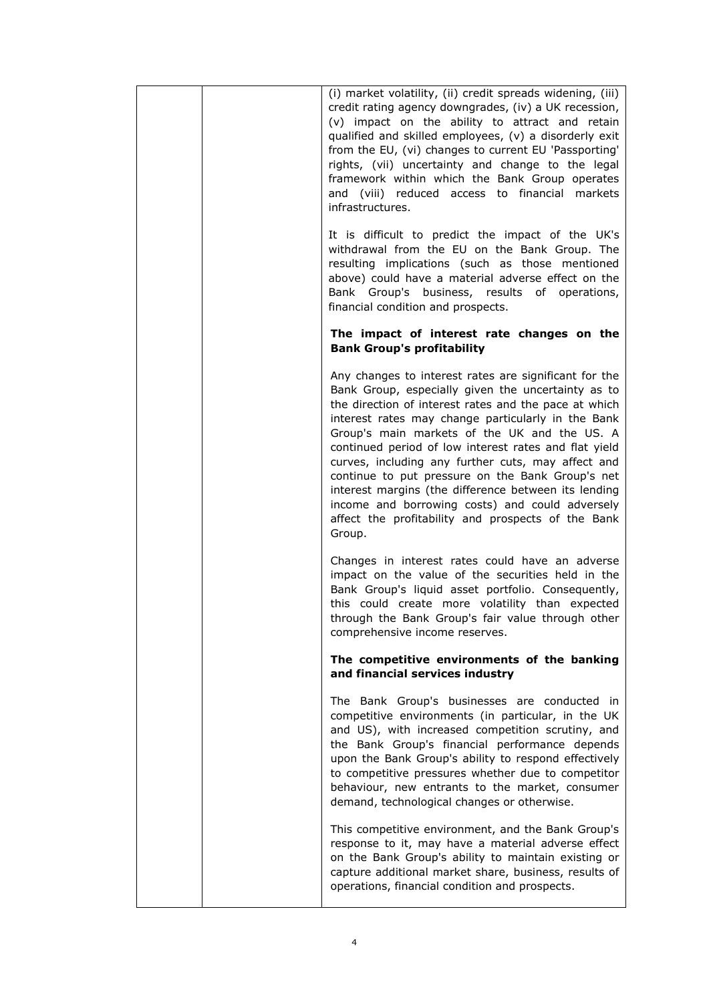| (i) market volatility, (ii) credit spreads widening, (iii)<br>credit rating agency downgrades, (iv) a UK recession,<br>(v) impact on the ability to attract and retain<br>qualified and skilled employees, (v) a disorderly exit<br>from the EU, (vi) changes to current EU 'Passporting'<br>rights, (vii) uncertainty and change to the legal<br>framework within which the Bank Group operates<br>and (viii) reduced access to financial markets<br>infrastructures.                                                                                                                                                   |
|--------------------------------------------------------------------------------------------------------------------------------------------------------------------------------------------------------------------------------------------------------------------------------------------------------------------------------------------------------------------------------------------------------------------------------------------------------------------------------------------------------------------------------------------------------------------------------------------------------------------------|
| It is difficult to predict the impact of the UK's<br>withdrawal from the EU on the Bank Group. The<br>resulting implications (such as those mentioned<br>above) could have a material adverse effect on the<br>Bank Group's business, results of operations,<br>financial condition and prospects.                                                                                                                                                                                                                                                                                                                       |
| The impact of interest rate changes on the<br><b>Bank Group's profitability</b>                                                                                                                                                                                                                                                                                                                                                                                                                                                                                                                                          |
| Any changes to interest rates are significant for the<br>Bank Group, especially given the uncertainty as to<br>the direction of interest rates and the pace at which<br>interest rates may change particularly in the Bank<br>Group's main markets of the UK and the US. A<br>continued period of low interest rates and flat yield<br>curves, including any further cuts, may affect and<br>continue to put pressure on the Bank Group's net<br>interest margins (the difference between its lending<br>income and borrowing costs) and could adversely<br>affect the profitability and prospects of the Bank<br>Group. |
| Changes in interest rates could have an adverse<br>impact on the value of the securities held in the<br>Bank Group's liquid asset portfolio. Consequently,<br>this could create more volatility than expected<br>through the Bank Group's fair value through other<br>comprehensive income reserves.                                                                                                                                                                                                                                                                                                                     |
| The competitive environments of the banking<br>and financial services industry                                                                                                                                                                                                                                                                                                                                                                                                                                                                                                                                           |
| The Bank Group's businesses are conducted in<br>competitive environments (in particular, in the UK<br>and US), with increased competition scrutiny, and<br>the Bank Group's financial performance depends<br>upon the Bank Group's ability to respond effectively<br>to competitive pressures whether due to competitor<br>behaviour, new entrants to the market, consumer<br>demand, technological changes or otherwise.                                                                                                                                                                                                |
| This competitive environment, and the Bank Group's<br>response to it, may have a material adverse effect<br>on the Bank Group's ability to maintain existing or<br>capture additional market share, business, results of<br>operations, financial condition and prospects.                                                                                                                                                                                                                                                                                                                                               |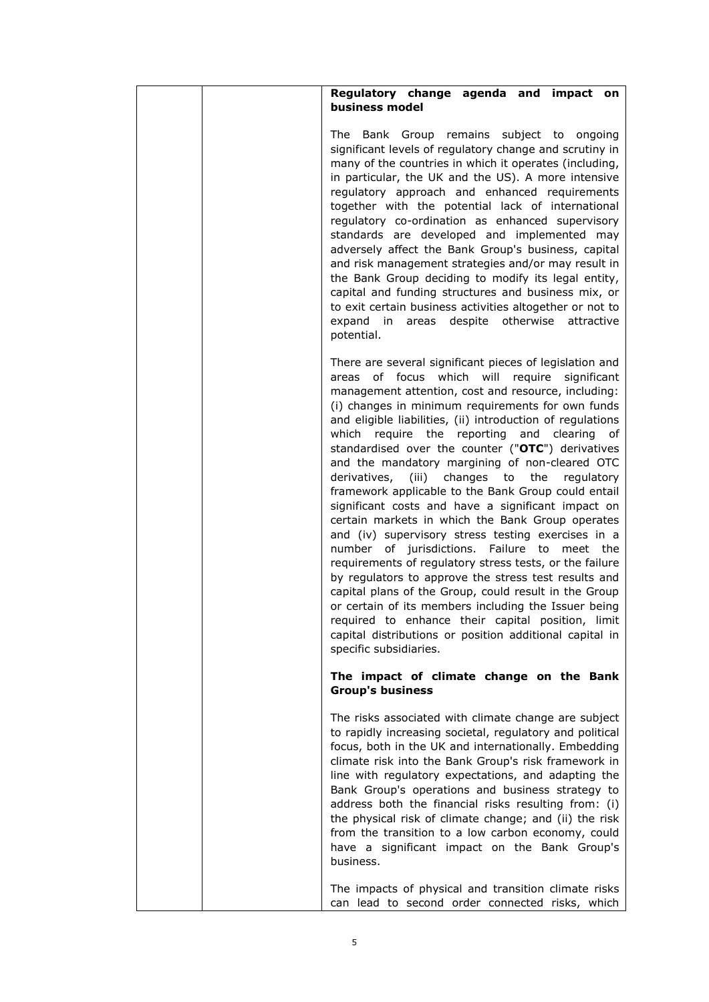|  | Regulatory change agenda and impact on<br>business model                                                                                                                                                                                                                                                                                                                                                                                                                                                                                                                                                                                                                                                                                                                                                                                                                                                                                                                                                                                                                                                                                         |
|--|--------------------------------------------------------------------------------------------------------------------------------------------------------------------------------------------------------------------------------------------------------------------------------------------------------------------------------------------------------------------------------------------------------------------------------------------------------------------------------------------------------------------------------------------------------------------------------------------------------------------------------------------------------------------------------------------------------------------------------------------------------------------------------------------------------------------------------------------------------------------------------------------------------------------------------------------------------------------------------------------------------------------------------------------------------------------------------------------------------------------------------------------------|
|  | The Bank Group remains subject to ongoing<br>significant levels of regulatory change and scrutiny in<br>many of the countries in which it operates (including,<br>in particular, the UK and the US). A more intensive<br>regulatory approach and enhanced requirements<br>together with the potential lack of international<br>regulatory co-ordination as enhanced supervisory<br>standards are developed and implemented may<br>adversely affect the Bank Group's business, capital<br>and risk management strategies and/or may result in<br>the Bank Group deciding to modify its legal entity,<br>capital and funding structures and business mix, or<br>to exit certain business activities altogether or not to<br>expand in areas despite otherwise attractive<br>potential.                                                                                                                                                                                                                                                                                                                                                             |
|  | There are several significant pieces of legislation and<br>areas of focus which will require significant<br>management attention, cost and resource, including:<br>(i) changes in minimum requirements for own funds<br>and eligible liabilities, (ii) introduction of regulations<br>which require the reporting and clearing of<br>standardised over the counter ("OTC") derivatives<br>and the mandatory margining of non-cleared OTC<br>derivatives, (iii) changes to the<br>regulatory<br>framework applicable to the Bank Group could entail<br>significant costs and have a significant impact on<br>certain markets in which the Bank Group operates<br>and (iv) supervisory stress testing exercises in a<br>number of jurisdictions. Failure to meet the<br>requirements of regulatory stress tests, or the failure<br>by regulators to approve the stress test results and<br>capital plans of the Group, could result in the Group<br>or certain of its members including the Issuer being<br>required to enhance their capital position, limit<br>capital distributions or position additional capital in<br>specific subsidiaries. |
|  | The impact of climate change on the Bank<br><b>Group's business</b>                                                                                                                                                                                                                                                                                                                                                                                                                                                                                                                                                                                                                                                                                                                                                                                                                                                                                                                                                                                                                                                                              |
|  | The risks associated with climate change are subject<br>to rapidly increasing societal, regulatory and political<br>focus, both in the UK and internationally. Embedding<br>climate risk into the Bank Group's risk framework in<br>line with regulatory expectations, and adapting the<br>Bank Group's operations and business strategy to<br>address both the financial risks resulting from: (i)<br>the physical risk of climate change; and (ii) the risk<br>from the transition to a low carbon economy, could<br>have a significant impact on the Bank Group's<br>business.                                                                                                                                                                                                                                                                                                                                                                                                                                                                                                                                                                |
|  | The impacts of physical and transition climate risks<br>can lead to second order connected risks, which                                                                                                                                                                                                                                                                                                                                                                                                                                                                                                                                                                                                                                                                                                                                                                                                                                                                                                                                                                                                                                          |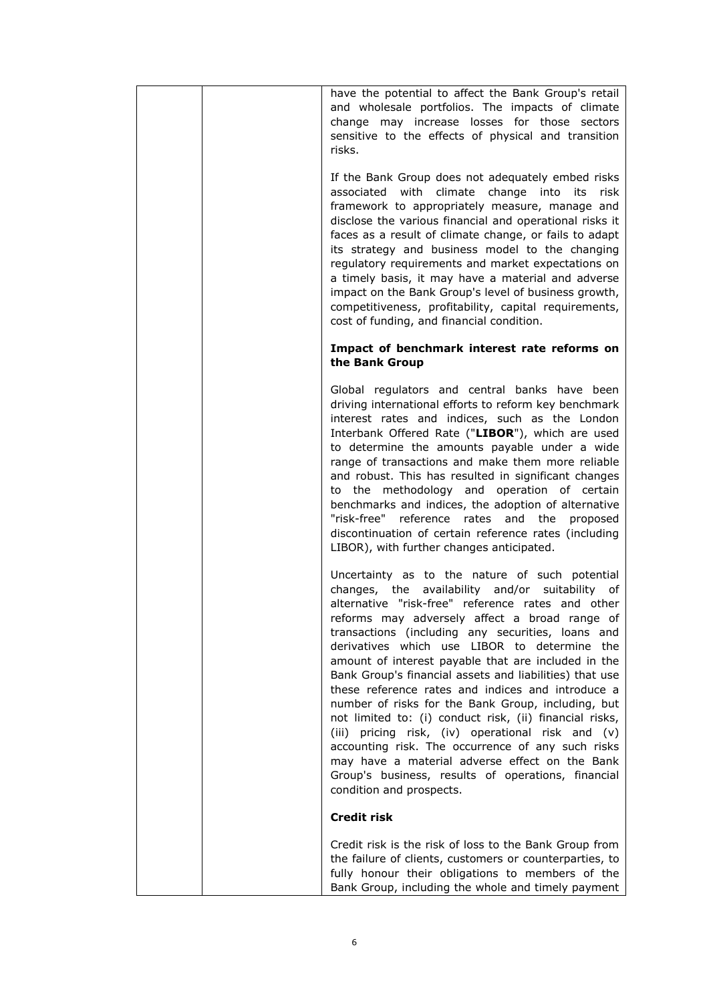| have the potential to affect the Bank Group's retail<br>and wholesale portfolios. The impacts of climate<br>change may increase losses for those sectors<br>sensitive to the effects of physical and transition<br>risks.                                                                                                                                                                                                                                                                                                                                                                                                                                                                                                                                                                                                                             |
|-------------------------------------------------------------------------------------------------------------------------------------------------------------------------------------------------------------------------------------------------------------------------------------------------------------------------------------------------------------------------------------------------------------------------------------------------------------------------------------------------------------------------------------------------------------------------------------------------------------------------------------------------------------------------------------------------------------------------------------------------------------------------------------------------------------------------------------------------------|
| If the Bank Group does not adequately embed risks<br>associated with climate change into its<br>risk<br>framework to appropriately measure, manage and<br>disclose the various financial and operational risks it<br>faces as a result of climate change, or fails to adapt<br>its strategy and business model to the changing<br>regulatory requirements and market expectations on<br>a timely basis, it may have a material and adverse<br>impact on the Bank Group's level of business growth,<br>competitiveness, profitability, capital requirements,<br>cost of funding, and financial condition.                                                                                                                                                                                                                                              |
| Impact of benchmark interest rate reforms on<br>the Bank Group                                                                                                                                                                                                                                                                                                                                                                                                                                                                                                                                                                                                                                                                                                                                                                                        |
| Global regulators and central banks have been<br>driving international efforts to reform key benchmark<br>interest rates and indices, such as the London<br>Interbank Offered Rate ("LIBOR"), which are used<br>to determine the amounts payable under a wide<br>range of transactions and make them more reliable<br>and robust. This has resulted in significant changes<br>to the methodology and operation of certain<br>benchmarks and indices, the adoption of alternative<br>"risk-free" reference<br>rates and<br>the<br>proposed<br>discontinuation of certain reference rates (including<br>LIBOR), with further changes anticipated.                                                                                                                                                                                                       |
| Uncertainty as to the nature of such potential<br>changes, the availability and/or suitability of<br>alternative "risk-free" reference rates and other<br>reforms may adversely affect a broad range of<br>transactions (including any securities, loans and<br>derivatives which use LIBOR to determine the<br>amount of interest payable that are included in the<br>Bank Group's financial assets and liabilities) that use<br>these reference rates and indices and introduce a<br>number of risks for the Bank Group, including, but<br>not limited to: (i) conduct risk, (ii) financial risks,<br>pricing risk, (iv) operational risk and (v)<br>(iii)<br>accounting risk. The occurrence of any such risks<br>may have a material adverse effect on the Bank<br>Group's business, results of operations, financial<br>condition and prospects. |
| <b>Credit risk</b>                                                                                                                                                                                                                                                                                                                                                                                                                                                                                                                                                                                                                                                                                                                                                                                                                                    |
| Credit risk is the risk of loss to the Bank Group from<br>the failure of clients, customers or counterparties, to<br>fully honour their obligations to members of the<br>Bank Group, including the whole and timely payment                                                                                                                                                                                                                                                                                                                                                                                                                                                                                                                                                                                                                           |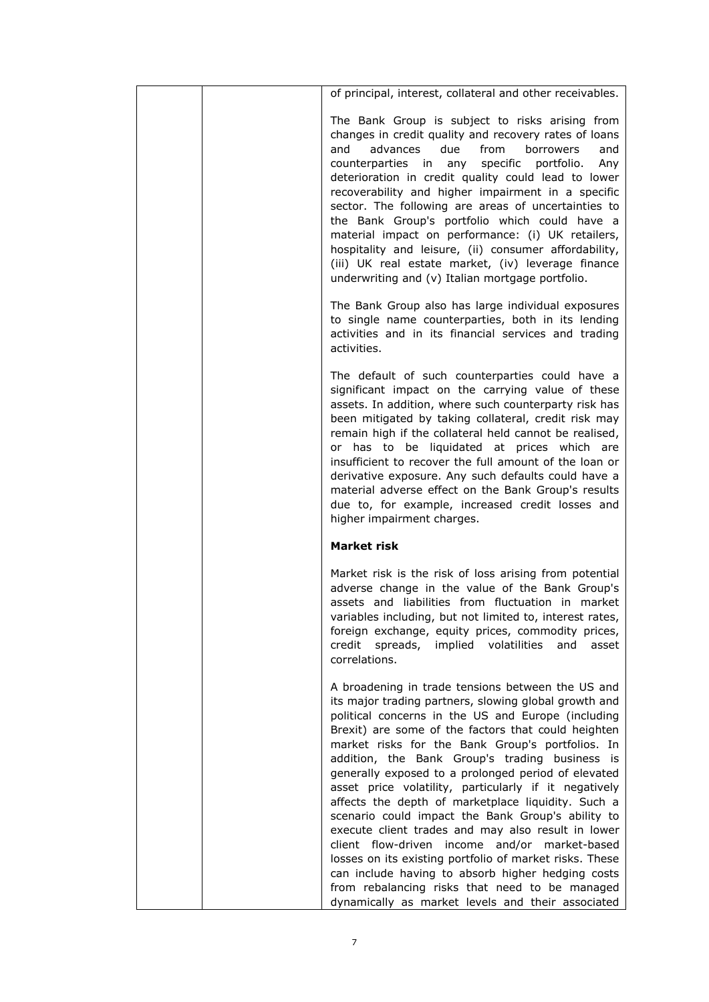| of principal, interest, collateral and other receivables.                                                                                                                                                                                                                                                                                                                                                                                                                                                                                                                                                                                                                                                                                                                                                                                                                              |
|----------------------------------------------------------------------------------------------------------------------------------------------------------------------------------------------------------------------------------------------------------------------------------------------------------------------------------------------------------------------------------------------------------------------------------------------------------------------------------------------------------------------------------------------------------------------------------------------------------------------------------------------------------------------------------------------------------------------------------------------------------------------------------------------------------------------------------------------------------------------------------------|
| The Bank Group is subject to risks arising from<br>changes in credit quality and recovery rates of loans<br>due<br>from<br>advances<br>borrowers<br>and<br>and<br>counterparties<br>specific<br>portfolio.<br>in<br>any<br>Any<br>deterioration in credit quality could lead to lower<br>recoverability and higher impairment in a specific<br>sector. The following are areas of uncertainties to<br>the Bank Group's portfolio which could have a<br>material impact on performance: (i) UK retailers,<br>hospitality and leisure, (ii) consumer affordability,<br>(iii) UK real estate market, (iv) leverage finance<br>underwriting and (v) Italian mortgage portfolio.                                                                                                                                                                                                            |
| The Bank Group also has large individual exposures<br>to single name counterparties, both in its lending<br>activities and in its financial services and trading<br>activities.                                                                                                                                                                                                                                                                                                                                                                                                                                                                                                                                                                                                                                                                                                        |
| The default of such counterparties could have a<br>significant impact on the carrying value of these<br>assets. In addition, where such counterparty risk has<br>been mitigated by taking collateral, credit risk may<br>remain high if the collateral held cannot be realised,<br>or has to be liquidated at prices which are<br>insufficient to recover the full amount of the loan or<br>derivative exposure. Any such defaults could have a<br>material adverse effect on the Bank Group's results<br>due to, for example, increased credit losses and<br>higher impairment charges.                                                                                                                                                                                                                                                                                               |
| <b>Market risk</b>                                                                                                                                                                                                                                                                                                                                                                                                                                                                                                                                                                                                                                                                                                                                                                                                                                                                     |
| Market risk is the risk of loss arising from potential<br>adverse change in the value of the Bank Group's<br>assets and liabilities from fluctuation in market<br>variables including, but not limited to, interest rates,<br>foreign exchange, equity prices, commodity prices,<br>credit<br>spreads,<br>implied volatilities<br>and<br>asset<br>correlations.                                                                                                                                                                                                                                                                                                                                                                                                                                                                                                                        |
| A broadening in trade tensions between the US and<br>its major trading partners, slowing global growth and<br>political concerns in the US and Europe (including<br>Brexit) are some of the factors that could heighten<br>market risks for the Bank Group's portfolios. In<br>addition, the Bank Group's trading business is<br>generally exposed to a prolonged period of elevated<br>asset price volatility, particularly if it negatively<br>affects the depth of marketplace liquidity. Such a<br>scenario could impact the Bank Group's ability to<br>execute client trades and may also result in lower<br>client flow-driven income and/or market-based<br>losses on its existing portfolio of market risks. These<br>can include having to absorb higher hedging costs<br>from rebalancing risks that need to be managed<br>dynamically as market levels and their associated |
|                                                                                                                                                                                                                                                                                                                                                                                                                                                                                                                                                                                                                                                                                                                                                                                                                                                                                        |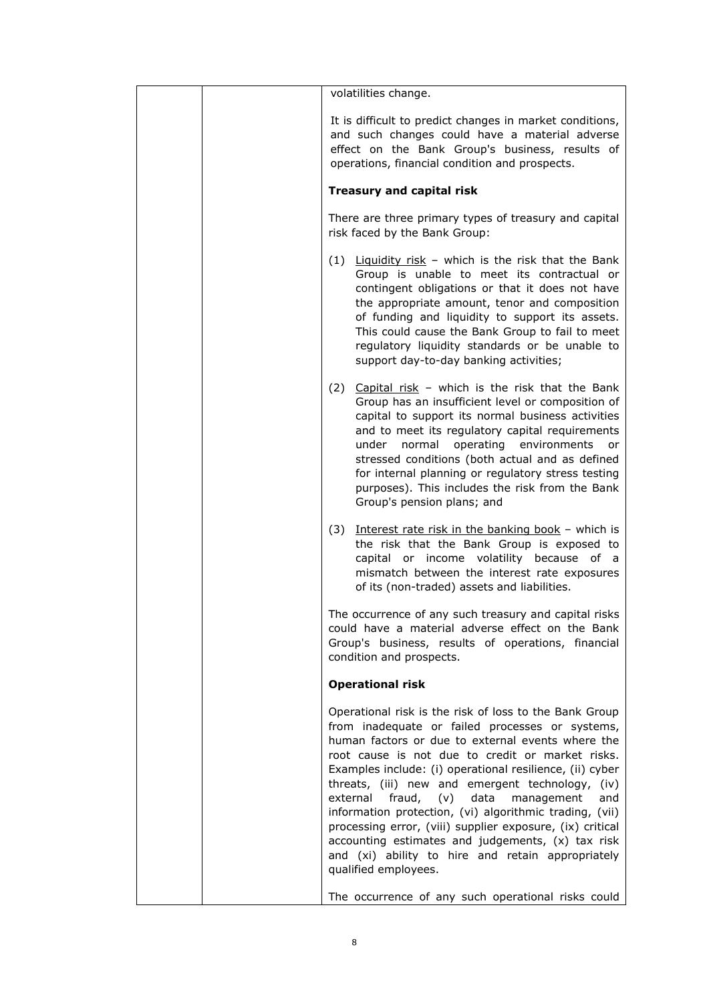| volatilities change.                                                                                                                                                                                                                                                                                                                                                                                                                                                                                                                                                                                                                                  |
|-------------------------------------------------------------------------------------------------------------------------------------------------------------------------------------------------------------------------------------------------------------------------------------------------------------------------------------------------------------------------------------------------------------------------------------------------------------------------------------------------------------------------------------------------------------------------------------------------------------------------------------------------------|
| It is difficult to predict changes in market conditions,<br>and such changes could have a material adverse<br>effect on the Bank Group's business, results of<br>operations, financial condition and prospects.                                                                                                                                                                                                                                                                                                                                                                                                                                       |
| <b>Treasury and capital risk</b>                                                                                                                                                                                                                                                                                                                                                                                                                                                                                                                                                                                                                      |
| There are three primary types of treasury and capital<br>risk faced by the Bank Group:                                                                                                                                                                                                                                                                                                                                                                                                                                                                                                                                                                |
| $(1)$ Liquidity risk - which is the risk that the Bank<br>Group is unable to meet its contractual or<br>contingent obligations or that it does not have<br>the appropriate amount, tenor and composition<br>of funding and liquidity to support its assets.<br>This could cause the Bank Group to fail to meet<br>regulatory liquidity standards or be unable to<br>support day-to-day banking activities;                                                                                                                                                                                                                                            |
| (2) Capital risk - which is the risk that the Bank<br>Group has an insufficient level or composition of<br>capital to support its normal business activities<br>and to meet its regulatory capital requirements<br>under normal operating environments<br>or<br>stressed conditions (both actual and as defined<br>for internal planning or regulatory stress testing<br>purposes). This includes the risk from the Bank<br>Group's pension plans; and                                                                                                                                                                                                |
| (3) Interest rate risk in the banking book - which is<br>the risk that the Bank Group is exposed to<br>capital or income volatility because of a<br>mismatch between the interest rate exposures<br>of its (non-traded) assets and liabilities.                                                                                                                                                                                                                                                                                                                                                                                                       |
| The occurrence of any such treasury and capital risks<br>could have a material adverse effect on the Bank<br>Group's business, results of operations, financial<br>condition and prospects.                                                                                                                                                                                                                                                                                                                                                                                                                                                           |
| <b>Operational risk</b>                                                                                                                                                                                                                                                                                                                                                                                                                                                                                                                                                                                                                               |
| Operational risk is the risk of loss to the Bank Group<br>from inadequate or failed processes or systems,<br>human factors or due to external events where the<br>root cause is not due to credit or market risks.<br>Examples include: (i) operational resilience, (ii) cyber<br>threats, (iii) new and emergent technology, (iv)<br>$(v)$ data<br>external<br>fraud,<br>management<br>and<br>information protection, (vi) algorithmic trading, (vii)<br>processing error, (viii) supplier exposure, (ix) critical<br>accounting estimates and judgements, (x) tax risk<br>and (xi) ability to hire and retain appropriately<br>qualified employees. |
| The occurrence of any such operational risks could                                                                                                                                                                                                                                                                                                                                                                                                                                                                                                                                                                                                    |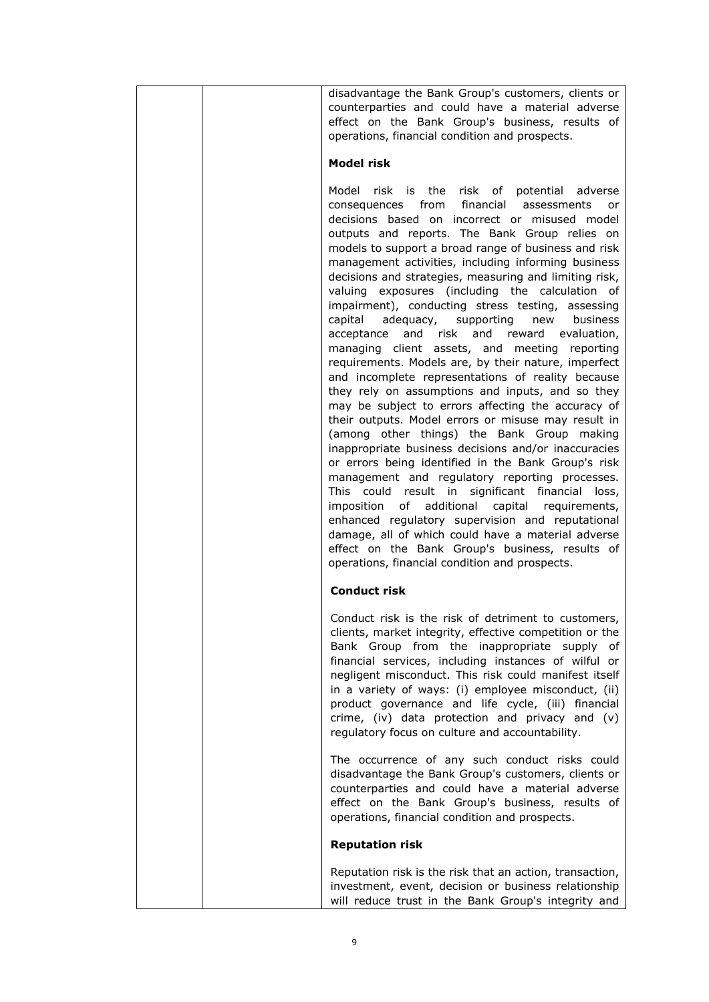| disadvantage the Bank Group's customers, clients or                                                         |
|-------------------------------------------------------------------------------------------------------------|
| counterparties and could have a material adverse                                                            |
| effect on the Bank Group's business, results of                                                             |
| operations, financial condition and prospects.                                                              |
| <b>Model risk</b>                                                                                           |
| Model risk is the risk of potential adverse                                                                 |
| financial<br>consequences<br>from<br>assessments<br>or                                                      |
| decisions based on incorrect or misused model                                                               |
| outputs and reports. The Bank Group relies on                                                               |
| models to support a broad range of business and risk<br>management activities, including informing business |
| decisions and strategies, measuring and limiting risk,                                                      |
| valuing exposures (including the calculation<br>of                                                          |
| impairment), conducting stress testing, assessing                                                           |
| capital<br>adequacy, supporting<br>new business                                                             |
| and risk<br>and<br>reward evaluation,<br>acceptance                                                         |
| managing client assets, and meeting reporting<br>requirements. Models are, by their nature, imperfect       |
| and incomplete representations of reality because                                                           |
| they rely on assumptions and inputs, and so they                                                            |
| may be subject to errors affecting the accuracy of                                                          |
| their outputs. Model errors or misuse may result in                                                         |
| (among other things) the Bank Group making<br>inappropriate business decisions and/or inaccuracies          |
| or errors being identified in the Bank Group's risk                                                         |
| management and regulatory reporting processes.                                                              |
| This could result in significant financial<br>loss,                                                         |
| imposition<br>of<br>additional<br>capital<br>requirements,                                                  |
| enhanced regulatory supervision and reputational<br>damage, all of which could have a material adverse      |
| effect on the Bank Group's business, results of                                                             |
| operations, financial condition and prospects.                                                              |
| <b>Conduct risk</b>                                                                                         |
| Conduct risk is the risk of detriment to customers,                                                         |
| clients, market integrity, effective competition or the                                                     |
| Bank Group from the inappropriate supply of<br>financial services, including instances of wilful or         |
| negligent misconduct. This risk could manifest itself                                                       |
| in a variety of ways: (i) employee misconduct, (ii)                                                         |
| product governance and life cycle, (iii) financial                                                          |
| crime, (iv) data protection and privacy and (v)                                                             |
| regulatory focus on culture and accountability.                                                             |
| The occurrence of any such conduct risks could                                                              |
| disadvantage the Bank Group's customers, clients or                                                         |
| counterparties and could have a material adverse                                                            |
| effect on the Bank Group's business, results of<br>operations, financial condition and prospects.           |
| <b>Reputation risk</b>                                                                                      |
| Reputation risk is the risk that an action, transaction,                                                    |
| investment, event, decision or business relationship                                                        |
| will reduce trust in the Bank Group's integrity and                                                         |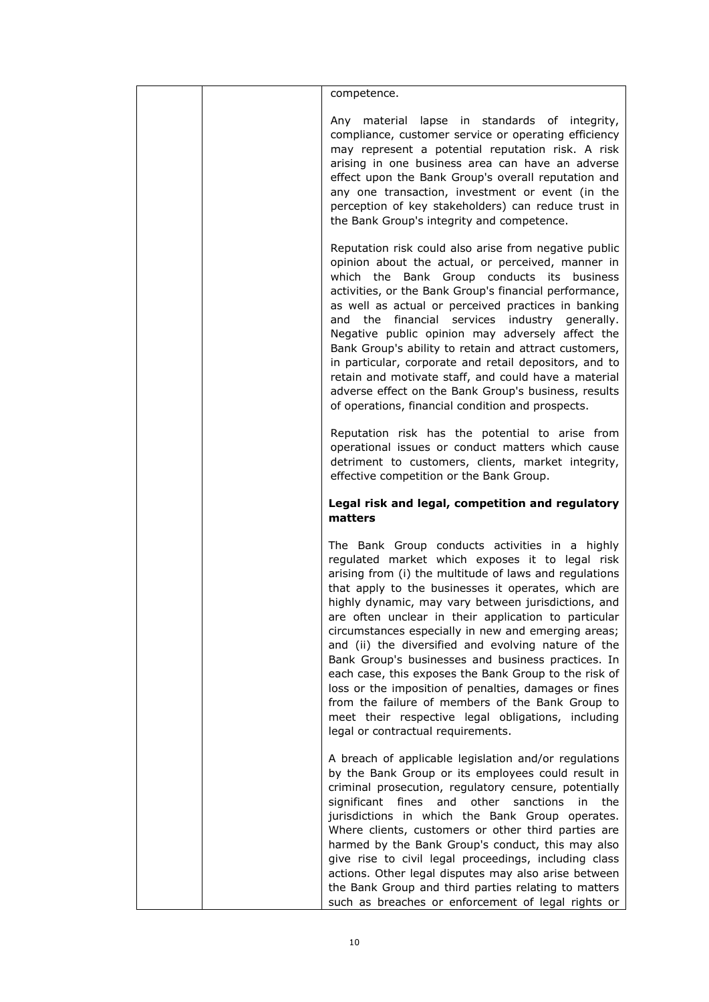|  | competence.                                                                                                                                                                                                                                                                                                                                                                                                                                                                                                                                                                                                                                                                                                                                                             |
|--|-------------------------------------------------------------------------------------------------------------------------------------------------------------------------------------------------------------------------------------------------------------------------------------------------------------------------------------------------------------------------------------------------------------------------------------------------------------------------------------------------------------------------------------------------------------------------------------------------------------------------------------------------------------------------------------------------------------------------------------------------------------------------|
|  | Any material lapse in standards of integrity,<br>compliance, customer service or operating efficiency<br>may represent a potential reputation risk. A risk<br>arising in one business area can have an adverse<br>effect upon the Bank Group's overall reputation and<br>any one transaction, investment or event (in the<br>perception of key stakeholders) can reduce trust in<br>the Bank Group's integrity and competence.                                                                                                                                                                                                                                                                                                                                          |
|  | Reputation risk could also arise from negative public<br>opinion about the actual, or perceived, manner in<br>which the Bank Group conducts its business<br>activities, or the Bank Group's financial performance,<br>as well as actual or perceived practices in banking<br>and the financial services industry generally.<br>Negative public opinion may adversely affect the<br>Bank Group's ability to retain and attract customers,<br>in particular, corporate and retail depositors, and to<br>retain and motivate staff, and could have a material<br>adverse effect on the Bank Group's business, results<br>of operations, financial condition and prospects.                                                                                                 |
|  | Reputation risk has the potential to arise from<br>operational issues or conduct matters which cause<br>detriment to customers, clients, market integrity,<br>effective competition or the Bank Group.                                                                                                                                                                                                                                                                                                                                                                                                                                                                                                                                                                  |
|  | Legal risk and legal, competition and regulatory<br>matters                                                                                                                                                                                                                                                                                                                                                                                                                                                                                                                                                                                                                                                                                                             |
|  |                                                                                                                                                                                                                                                                                                                                                                                                                                                                                                                                                                                                                                                                                                                                                                         |
|  | The Bank Group conducts activities in a highly<br>regulated market which exposes it to legal risk<br>arising from (i) the multitude of laws and regulations<br>that apply to the businesses it operates, which are<br>highly dynamic, may vary between jurisdictions, and<br>are often unclear in their application to particular<br>circumstances especially in new and emerging areas;<br>and (ii) the diversified and evolving nature of the<br>Bank Group's businesses and business practices. In<br>each case, this exposes the Bank Group to the risk of<br>loss or the imposition of penalties, damages or fines<br>from the failure of members of the Bank Group to<br>meet their respective legal obligations, including<br>legal or contractual requirements. |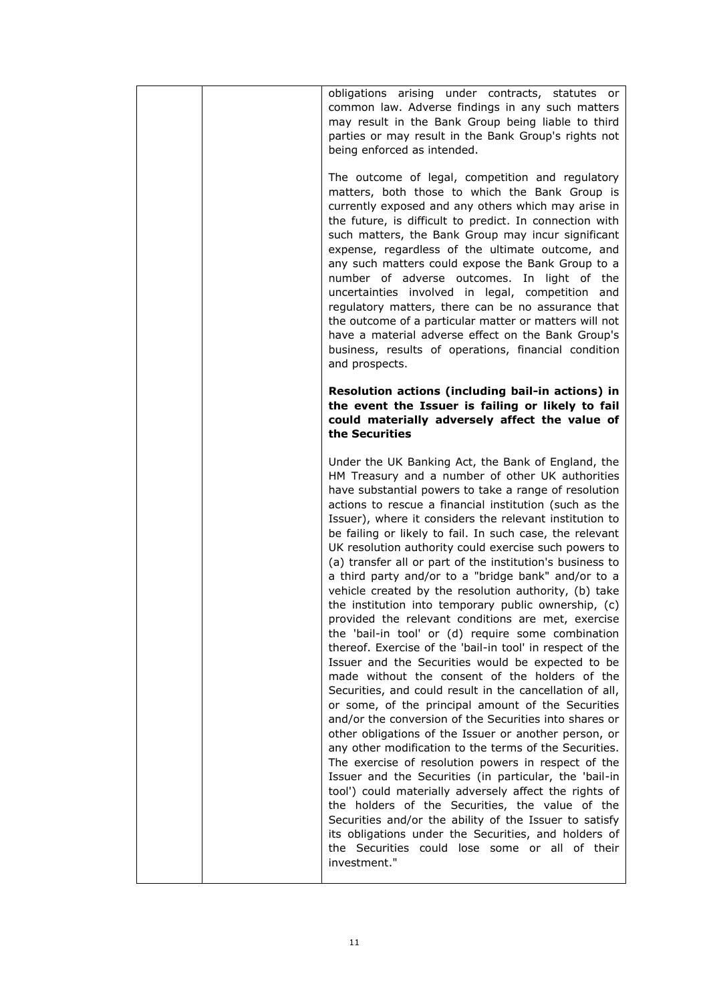| obligations arising under contracts, statutes or<br>common law. Adverse findings in any such matters<br>may result in the Bank Group being liable to third<br>parties or may result in the Bank Group's rights not<br>being enforced as intended.                                                                                                                                                                                                                                                                                                                                                                                                                                                                                                                                                                                                                                                                                                                                                                                                                                                                                                                                                                                                                                                                                                                                                                                                                                                                                                                                                                                               |
|-------------------------------------------------------------------------------------------------------------------------------------------------------------------------------------------------------------------------------------------------------------------------------------------------------------------------------------------------------------------------------------------------------------------------------------------------------------------------------------------------------------------------------------------------------------------------------------------------------------------------------------------------------------------------------------------------------------------------------------------------------------------------------------------------------------------------------------------------------------------------------------------------------------------------------------------------------------------------------------------------------------------------------------------------------------------------------------------------------------------------------------------------------------------------------------------------------------------------------------------------------------------------------------------------------------------------------------------------------------------------------------------------------------------------------------------------------------------------------------------------------------------------------------------------------------------------------------------------------------------------------------------------|
| The outcome of legal, competition and regulatory<br>matters, both those to which the Bank Group is<br>currently exposed and any others which may arise in<br>the future, is difficult to predict. In connection with<br>such matters, the Bank Group may incur significant<br>expense, regardless of the ultimate outcome, and<br>any such matters could expose the Bank Group to a<br>number of adverse outcomes. In light of the<br>uncertainties involved in legal, competition and<br>regulatory matters, there can be no assurance that<br>the outcome of a particular matter or matters will not<br>have a material adverse effect on the Bank Group's<br>business, results of operations, financial condition<br>and prospects.                                                                                                                                                                                                                                                                                                                                                                                                                                                                                                                                                                                                                                                                                                                                                                                                                                                                                                          |
| Resolution actions (including bail-in actions) in<br>the event the Issuer is failing or likely to fail<br>could materially adversely affect the value of<br>the Securities                                                                                                                                                                                                                                                                                                                                                                                                                                                                                                                                                                                                                                                                                                                                                                                                                                                                                                                                                                                                                                                                                                                                                                                                                                                                                                                                                                                                                                                                      |
| Under the UK Banking Act, the Bank of England, the<br>HM Treasury and a number of other UK authorities<br>have substantial powers to take a range of resolution<br>actions to rescue a financial institution (such as the<br>Issuer), where it considers the relevant institution to<br>be failing or likely to fail. In such case, the relevant<br>UK resolution authority could exercise such powers to<br>(a) transfer all or part of the institution's business to<br>a third party and/or to a "bridge bank" and/or to a<br>vehicle created by the resolution authority, (b) take<br>the institution into temporary public ownership, (c)<br>provided the relevant conditions are met, exercise<br>the 'bail-in tool' or (d) require some combination<br>thereof. Exercise of the 'bail-in tool' in respect of the<br>Issuer and the Securities would be expected to be<br>made without the consent of the holders of the<br>Securities, and could result in the cancellation of all,<br>or some, of the principal amount of the Securities<br>and/or the conversion of the Securities into shares or<br>other obligations of the Issuer or another person, or<br>any other modification to the terms of the Securities.<br>The exercise of resolution powers in respect of the<br>Issuer and the Securities (in particular, the 'bail-in<br>tool') could materially adversely affect the rights of<br>the holders of the Securities, the value of the<br>Securities and/or the ability of the Issuer to satisfy<br>its obligations under the Securities, and holders of<br>the Securities could lose some or all of their<br>investment." |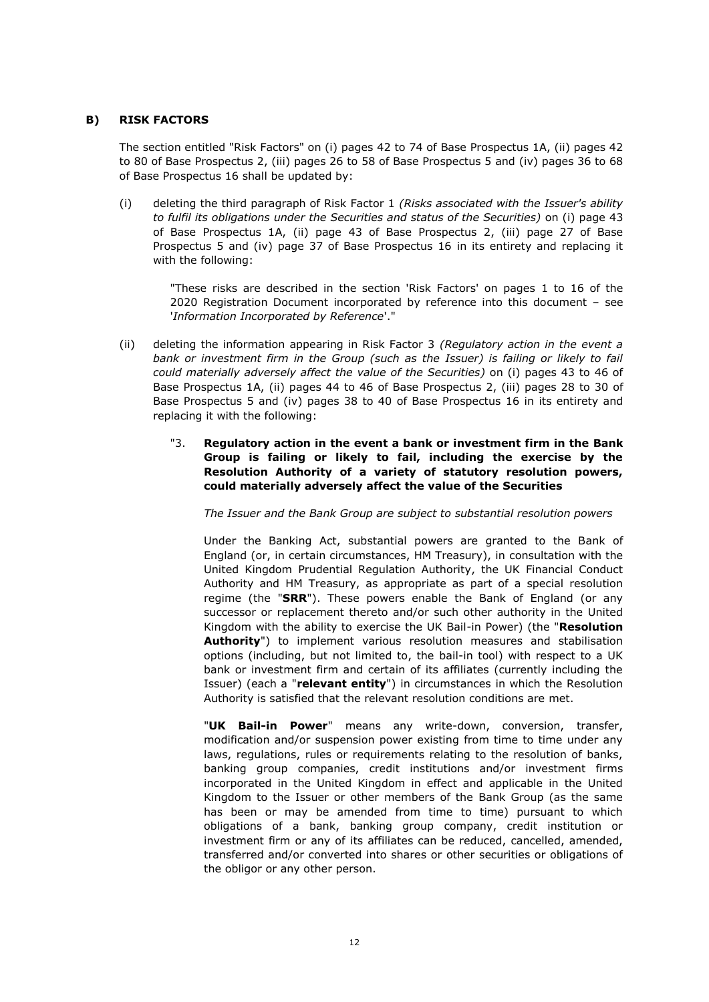## **B) RISK FACTORS**

The section entitled "Risk Factors" on (i) pages 42 to 74 of Base Prospectus 1A, (ii) pages 42 to 80 of Base Prospectus 2, (iii) pages 26 to 58 of Base Prospectus 5 and (iv) pages 36 to 68 of Base Prospectus 16 shall be updated by:

(i) deleting the third paragraph of Risk Factor 1 *(Risks associated with the Issuer's ability to fulfil its obligations under the Securities and status of the Securities)* on (i) page 43 of Base Prospectus 1A, (ii) page 43 of Base Prospectus 2, (iii) page 27 of Base Prospectus 5 and (iv) page 37 of Base Prospectus 16 in its entirety and replacing it with the following:

"These risks are described in the section 'Risk Factors' on pages 1 to 16 of the 2020 Registration Document incorporated by reference into this document – see '*Information Incorporated by Reference*'."

- (ii) deleting the information appearing in Risk Factor 3 *(Regulatory action in the event a*  bank or investment firm in the Group (such as the Issuer) is failing or likely to fail *could materially adversely affect the value of the Securities)* on (i) pages 43 to 46 of Base Prospectus 1A, (ii) pages 44 to 46 of Base Prospectus 2, (iii) pages 28 to 30 of Base Prospectus 5 and (iv) pages 38 to 40 of Base Prospectus 16 in its entirety and replacing it with the following:
	- "3. **Regulatory action in the event a bank or investment firm in the Bank Group is failing or likely to fail, including the exercise by the Resolution Authority of a variety of statutory resolution powers, could materially adversely affect the value of the Securities**

*The Issuer and the Bank Group are subject to substantial resolution powers*

Under the Banking Act, substantial powers are granted to the Bank of England (or, in certain circumstances, HM Treasury), in consultation with the United Kingdom Prudential Regulation Authority, the UK Financial Conduct Authority and HM Treasury, as appropriate as part of a special resolution regime (the "**SRR**"). These powers enable the Bank of England (or any successor or replacement thereto and/or such other authority in the United Kingdom with the ability to exercise the UK Bail-in Power) (the "**Resolution Authority**") to implement various resolution measures and stabilisation options (including, but not limited to, the bail-in tool) with respect to a UK bank or investment firm and certain of its affiliates (currently including the Issuer) (each a "**relevant entity**") in circumstances in which the Resolution Authority is satisfied that the relevant resolution conditions are met.

"**UK Bail-in Power**" means any write-down, conversion, transfer, modification and/or suspension power existing from time to time under any laws, regulations, rules or requirements relating to the resolution of banks, banking group companies, credit institutions and/or investment firms incorporated in the United Kingdom in effect and applicable in the United Kingdom to the Issuer or other members of the Bank Group (as the same has been or may be amended from time to time) pursuant to which obligations of a bank, banking group company, credit institution or investment firm or any of its affiliates can be reduced, cancelled, amended, transferred and/or converted into shares or other securities or obligations of the obligor or any other person.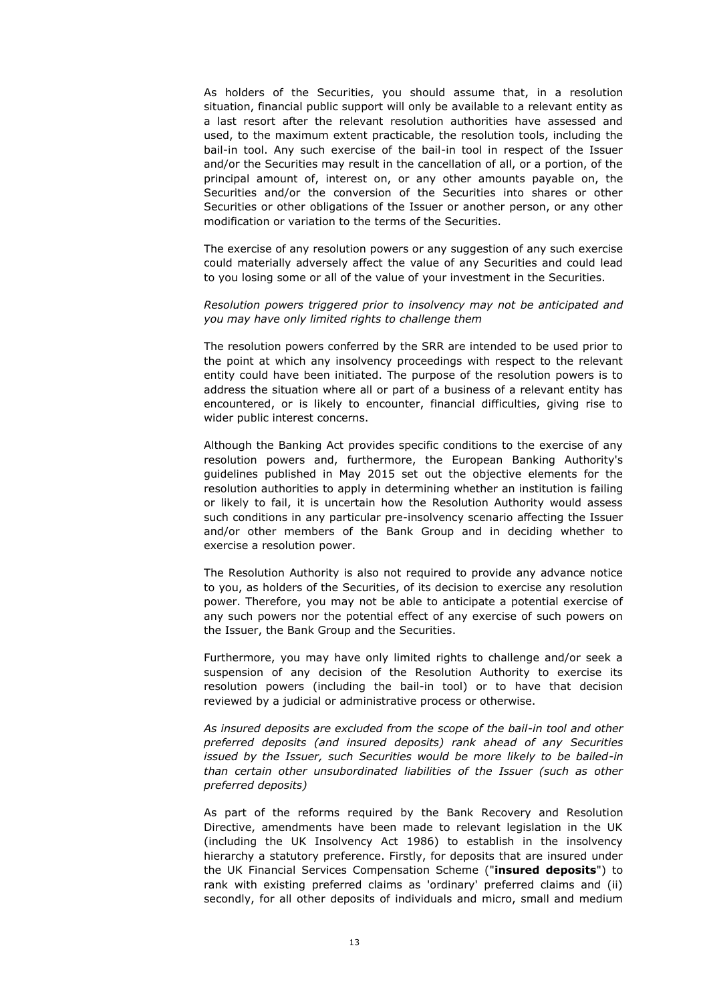As holders of the Securities, you should assume that, in a resolution situation, financial public support will only be available to a relevant entity as a last resort after the relevant resolution authorities have assessed and used, to the maximum extent practicable, the resolution tools, including the bail-in tool. Any such exercise of the bail-in tool in respect of the Issuer and/or the Securities may result in the cancellation of all, or a portion, of the principal amount of, interest on, or any other amounts payable on, the Securities and/or the conversion of the Securities into shares or other Securities or other obligations of the Issuer or another person, or any other modification or variation to the terms of the Securities.

The exercise of any resolution powers or any suggestion of any such exercise could materially adversely affect the value of any Securities and could lead to you losing some or all of the value of your investment in the Securities.

# *Resolution powers triggered prior to insolvency may not be anticipated and you may have only limited rights to challenge them*

The resolution powers conferred by the SRR are intended to be used prior to the point at which any insolvency proceedings with respect to the relevant entity could have been initiated. The purpose of the resolution powers is to address the situation where all or part of a business of a relevant entity has encountered, or is likely to encounter, financial difficulties, giving rise to wider public interest concerns.

Although the Banking Act provides specific conditions to the exercise of any resolution powers and, furthermore, the European Banking Authority's guidelines published in May 2015 set out the objective elements for the resolution authorities to apply in determining whether an institution is failing or likely to fail, it is uncertain how the Resolution Authority would assess such conditions in any particular pre-insolvency scenario affecting the Issuer and/or other members of the Bank Group and in deciding whether to exercise a resolution power.

The Resolution Authority is also not required to provide any advance notice to you, as holders of the Securities, of its decision to exercise any resolution power. Therefore, you may not be able to anticipate a potential exercise of any such powers nor the potential effect of any exercise of such powers on the Issuer, the Bank Group and the Securities.

Furthermore, you may have only limited rights to challenge and/or seek a suspension of any decision of the Resolution Authority to exercise its resolution powers (including the bail-in tool) or to have that decision reviewed by a judicial or administrative process or otherwise.

*As insured deposits are excluded from the scope of the bail-in tool and other preferred deposits (and insured deposits) rank ahead of any Securities issued by the Issuer, such Securities would be more likely to be bailed-in than certain other unsubordinated liabilities of the Issuer (such as other preferred deposits)*

As part of the reforms required by the Bank Recovery and Resolution Directive, amendments have been made to relevant legislation in the UK (including the UK Insolvency Act 1986) to establish in the insolvency hierarchy a statutory preference. Firstly, for deposits that are insured under the UK Financial Services Compensation Scheme ("**insured deposits**") to rank with existing preferred claims as 'ordinary' preferred claims and (ii) secondly, for all other deposits of individuals and micro, small and medium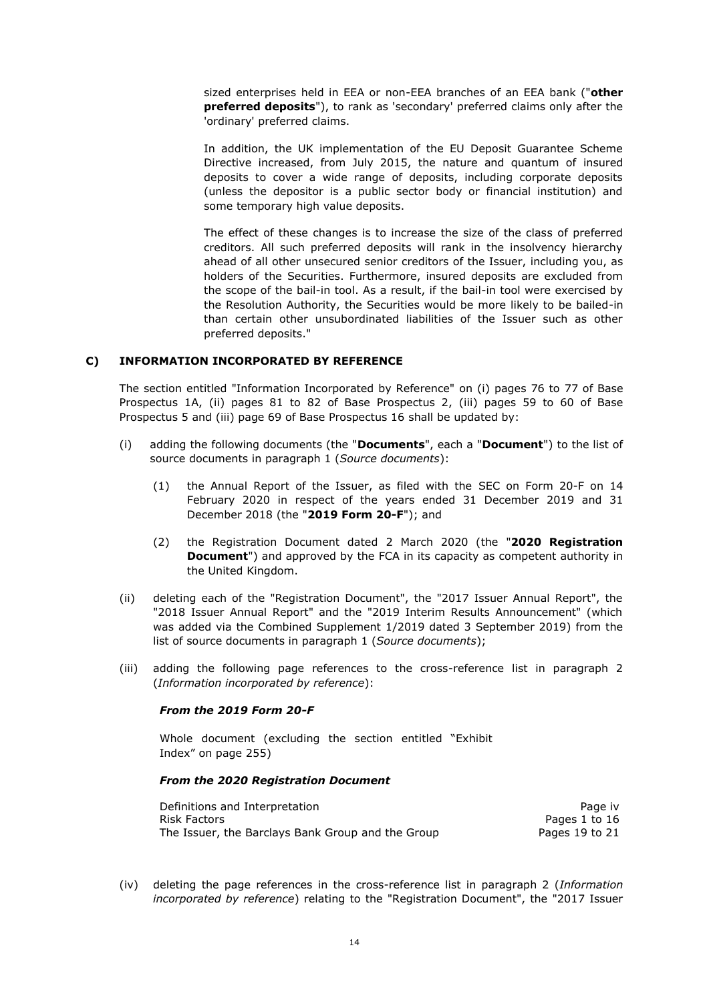sized enterprises held in EEA or non-EEA branches of an EEA bank ("**other preferred deposits**"), to rank as 'secondary' preferred claims only after the 'ordinary' preferred claims.

In addition, the UK implementation of the EU Deposit Guarantee Scheme Directive increased, from July 2015, the nature and quantum of insured deposits to cover a wide range of deposits, including corporate deposits (unless the depositor is a public sector body or financial institution) and some temporary high value deposits.

The effect of these changes is to increase the size of the class of preferred creditors. All such preferred deposits will rank in the insolvency hierarchy ahead of all other unsecured senior creditors of the Issuer, including you, as holders of the Securities. Furthermore, insured deposits are excluded from the scope of the bail-in tool. As a result, if the bail-in tool were exercised by the Resolution Authority, the Securities would be more likely to be bailed-in than certain other unsubordinated liabilities of the Issuer such as other preferred deposits."

# **C) INFORMATION INCORPORATED BY REFERENCE**

The section entitled "Information Incorporated by Reference" on (i) pages 76 to 77 of Base Prospectus 1A, (ii) pages 81 to 82 of Base Prospectus 2, (iii) pages 59 to 60 of Base Prospectus 5 and (iii) page 69 of Base Prospectus 16 shall be updated by:

- (i) adding the following documents (the "**Documents**", each a "**Document**") to the list of source documents in paragraph 1 (*Source documents*):
	- (1) the Annual Report of the Issuer, as filed with the SEC on Form 20-F on 14 February 2020 in respect of the years ended 31 December 2019 and 31 December 2018 (the "**2019 Form 20-F**"); and
	- (2) the Registration Document dated 2 March 2020 (the "**2020 Registration Document**") and approved by the FCA in its capacity as competent authority in the United Kingdom.
- (ii) deleting each of the "Registration Document", the "2017 Issuer Annual Report", the "2018 Issuer Annual Report" and the "2019 Interim Results Announcement" (which was added via the Combined Supplement 1/2019 dated 3 September 2019) from the list of source documents in paragraph 1 (*Source documents*);
- (iii) adding the following page references to the cross-reference list in paragraph 2 (*Information incorporated by reference*):

#### *From the 2019 Form 20-F*

Whole document (excluding the section entitled "Exhibit Index" on page 255)

### *From the 2020 Registration Document*

| Definitions and Interpretation                    | Page iv        |
|---------------------------------------------------|----------------|
| Risk Factors                                      | Pages 1 to 16  |
| The Issuer, the Barclays Bank Group and the Group | Pages 19 to 21 |

(iv) deleting the page references in the cross-reference list in paragraph 2 (*Information incorporated by reference*) relating to the "Registration Document", the "2017 Issuer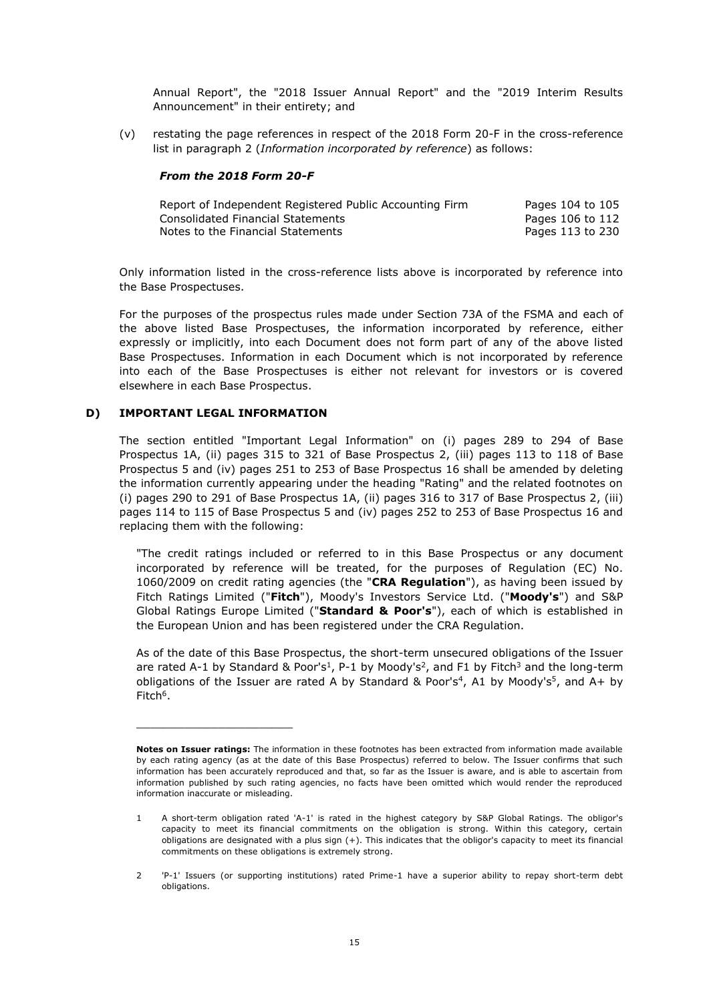Annual Report", the "2018 Issuer Annual Report" and the "2019 Interim Results Announcement" in their entirety; and

(v) restating the page references in respect of the 2018 Form 20-F in the cross-reference list in paragraph 2 (*Information incorporated by reference*) as follows:

#### *From the 2018 Form 20-F*

| Report of Independent Registered Public Accounting Firm | Pages 104 to 105 |
|---------------------------------------------------------|------------------|
| Consolidated Financial Statements                       | Pages 106 to 112 |
| Notes to the Financial Statements                       | Pages 113 to 230 |

Only information listed in the cross-reference lists above is incorporated by reference into the Base Prospectuses.

For the purposes of the prospectus rules made under Section 73A of the FSMA and each of the above listed Base Prospectuses, the information incorporated by reference, either expressly or implicitly, into each Document does not form part of any of the above listed Base Prospectuses. Information in each Document which is not incorporated by reference into each of the Base Prospectuses is either not relevant for investors or is covered elsewhere in each Base Prospectus.

# **D) IMPORTANT LEGAL INFORMATION**

\_\_\_\_\_\_\_\_\_\_\_\_\_\_\_\_\_\_\_\_\_\_\_

The section entitled "Important Legal Information" on (i) pages 289 to 294 of Base Prospectus 1A, (ii) pages 315 to 321 of Base Prospectus 2, (iii) pages 113 to 118 of Base Prospectus 5 and (iv) pages 251 to 253 of Base Prospectus 16 shall be amended by deleting the information currently appearing under the heading "Rating" and the related footnotes on (i) pages 290 to 291 of Base Prospectus 1A, (ii) pages 316 to 317 of Base Prospectus 2, (iii) pages 114 to 115 of Base Prospectus 5 and (iv) pages 252 to 253 of Base Prospectus 16 and replacing them with the following:

"The credit ratings included or referred to in this Base Prospectus or any document incorporated by reference will be treated, for the purposes of Regulation (EC) No. 1060/2009 on credit rating agencies (the "**CRA Regulation**"), as having been issued by Fitch Ratings Limited ("**Fitch**"), Moody's Investors Service Ltd. ("**Moody's**") and S&P Global Ratings Europe Limited ("**Standard & Poor's**"), each of which is established in the European Union and has been registered under the CRA Regulation.

As of the date of this Base Prospectus, the short-term unsecured obligations of the Issuer are rated A-1 by Standard & Poor's<sup>1</sup>, P-1 by Moody's<sup>2</sup>, and F1 by Fitch<sup>3</sup> and the long-term obligations of the Issuer are rated A by Standard & Poor's<sup>4</sup>, A1 by Moody's<sup>5</sup>, and A+ by Fitch<sup>6</sup>.

**Notes on Issuer ratings:** The information in these footnotes has been extracted from information made available by each rating agency (as at the date of this Base Prospectus) referred to below. The Issuer confirms that such information has been accurately reproduced and that, so far as the Issuer is aware, and is able to ascertain from information published by such rating agencies, no facts have been omitted which would render the reproduced information inaccurate or misleading.

<sup>1</sup> A short-term obligation rated 'A-1' is rated in the highest category by S&P Global Ratings. The obligor's capacity to meet its financial commitments on the obligation is strong. Within this category, certain obligations are designated with a plus sign (+). This indicates that the obligor's capacity to meet its financial commitments on these obligations is extremely strong.

<sup>2</sup> 'P-1' Issuers (or supporting institutions) rated Prime-1 have a superior ability to repay short-term debt obligations.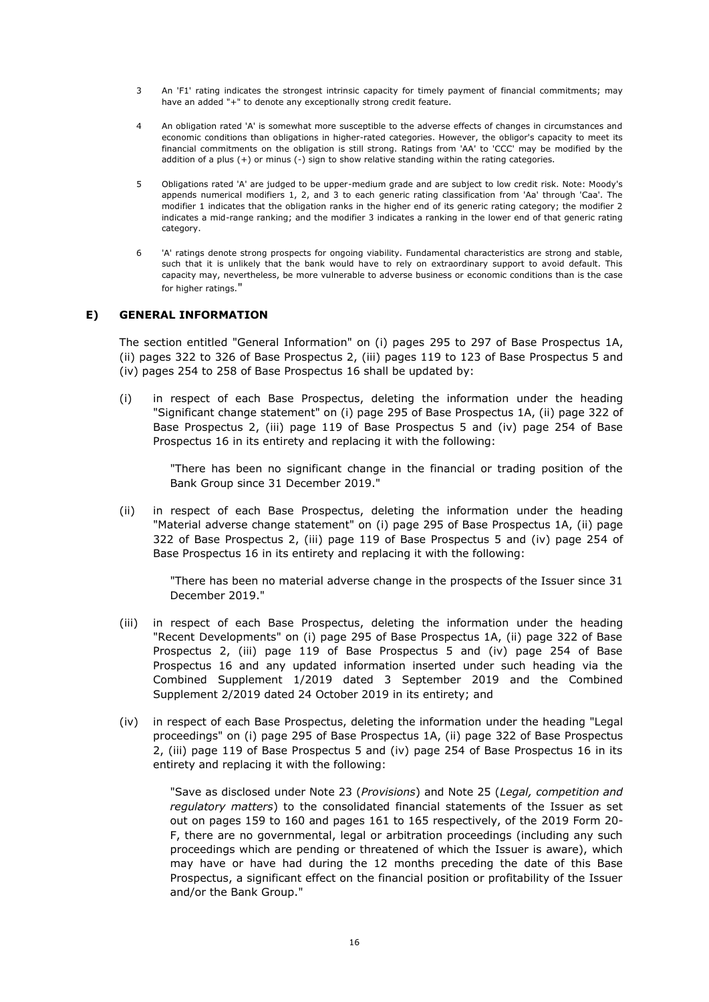- 3 An 'F1' rating indicates the strongest intrinsic capacity for timely payment of financial commitments; may have an added "+" to denote any exceptionally strong credit feature.
- 4 An obligation rated 'A' is somewhat more susceptible to the adverse effects of changes in circumstances and economic conditions than obligations in higher-rated categories. However, the obligor's capacity to meet its financial commitments on the obligation is still strong. Ratings from 'AA' to 'CCC' may be modified by the addition of a plus (+) or minus (-) sign to show relative standing within the rating categories.
- 5 Obligations rated 'A' are judged to be upper-medium grade and are subject to low credit risk. Note: Moody's appends numerical modifiers 1, 2, and 3 to each generic rating classification from 'Aa' through 'Caa'. The modifier 1 indicates that the obligation ranks in the higher end of its generic rating category; the modifier 2 indicates a mid-range ranking; and the modifier 3 indicates a ranking in the lower end of that generic rating category.
- 6 'A' ratings denote strong prospects for ongoing viability. Fundamental characteristics are strong and stable, such that it is unlikely that the bank would have to rely on extraordinary support to avoid default. This capacity may, nevertheless, be more vulnerable to adverse business or economic conditions than is the case for higher ratings."

### **E) GENERAL INFORMATION**

The section entitled "General Information" on (i) pages 295 to 297 of Base Prospectus 1A, (ii) pages 322 to 326 of Base Prospectus 2, (iii) pages 119 to 123 of Base Prospectus 5 and (iv) pages 254 to 258 of Base Prospectus 16 shall be updated by:

(i) in respect of each Base Prospectus, deleting the information under the heading "Significant change statement" on (i) page 295 of Base Prospectus 1A, (ii) page 322 of Base Prospectus 2, (iii) page 119 of Base Prospectus 5 and (iv) page 254 of Base Prospectus 16 in its entirety and replacing it with the following:

"There has been no significant change in the financial or trading position of the Bank Group since 31 December 2019."

(ii) in respect of each Base Prospectus, deleting the information under the heading "Material adverse change statement" on (i) page 295 of Base Prospectus 1A, (ii) page 322 of Base Prospectus 2, (iii) page 119 of Base Prospectus 5 and (iv) page 254 of Base Prospectus 16 in its entirety and replacing it with the following:

"There has been no material adverse change in the prospects of the Issuer since 31 December 2019."

- (iii) in respect of each Base Prospectus, deleting the information under the heading "Recent Developments" on (i) page 295 of Base Prospectus 1A, (ii) page 322 of Base Prospectus 2, (iii) page 119 of Base Prospectus 5 and (iv) page 254 of Base Prospectus 16 and any updated information inserted under such heading via the Combined Supplement 1/2019 dated 3 September 2019 and the Combined Supplement 2/2019 dated 24 October 2019 in its entirety; and
- (iv) in respect of each Base Prospectus, deleting the information under the heading "Legal proceedings" on (i) page 295 of Base Prospectus 1A, (ii) page 322 of Base Prospectus 2, (iii) page 119 of Base Prospectus 5 and (iv) page 254 of Base Prospectus 16 in its entirety and replacing it with the following:

"Save as disclosed under Note 23 (*Provisions*) and Note 25 (*Legal, competition and regulatory matters*) to the consolidated financial statements of the Issuer as set out on pages 159 to 160 and pages 161 to 165 respectively, of the 2019 Form 20- F, there are no governmental, legal or arbitration proceedings (including any such proceedings which are pending or threatened of which the Issuer is aware), which may have or have had during the 12 months preceding the date of this Base Prospectus, a significant effect on the financial position or profitability of the Issuer and/or the Bank Group."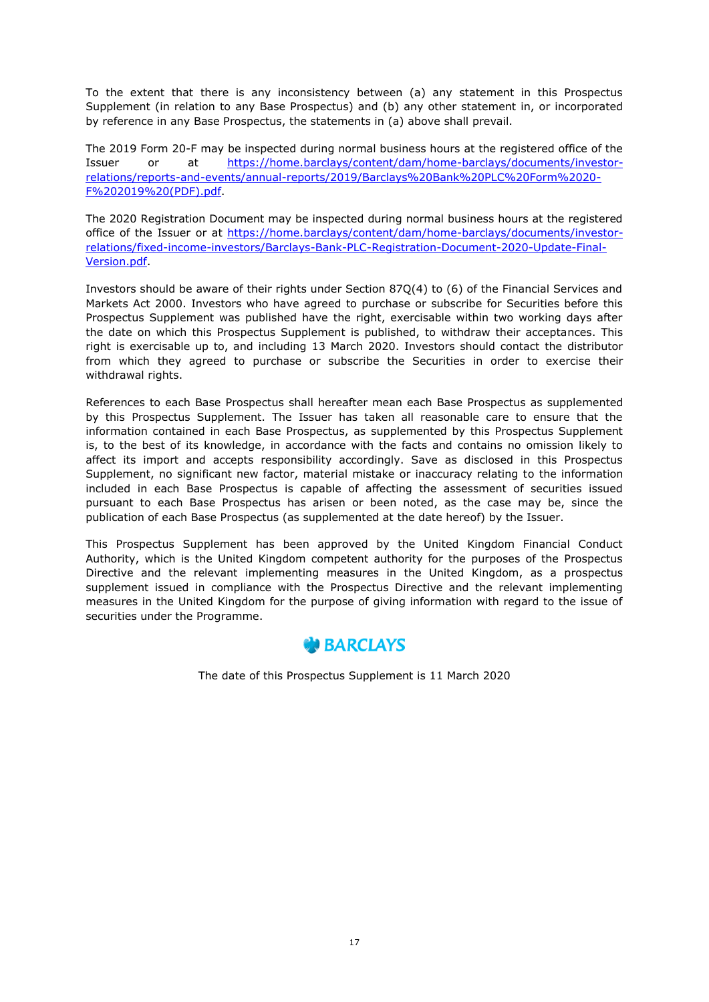To the extent that there is any inconsistency between (a) any statement in this Prospectus Supplement (in relation to any Base Prospectus) and (b) any other statement in, or incorporated by reference in any Base Prospectus, the statements in (a) above shall prevail.

The 2019 Form 20-F may be inspected during normal business hours at the registered office of the Issuer or at [https://home.barclays/content/dam/home-barclays/documents/investor](https://home.barclays/content/dam/home-barclays/documents/investor-relations/reports-and-events/annual-reports/2019/Barclays%20Bank%20PLC%20Form%2020-F%202019%20(PDF).pdf)[relations/reports-and-events/annual-reports/2019/Barclays%20Bank%20PLC%20Form%2020-](https://home.barclays/content/dam/home-barclays/documents/investor-relations/reports-and-events/annual-reports/2019/Barclays%20Bank%20PLC%20Form%2020-F%202019%20(PDF).pdf) [F%202019%20\(PDF\).pdf.](https://home.barclays/content/dam/home-barclays/documents/investor-relations/reports-and-events/annual-reports/2019/Barclays%20Bank%20PLC%20Form%2020-F%202019%20(PDF).pdf)

The 2020 Registration Document may be inspected during normal business hours at the registered office of the Issuer or at https://home.barclays/content/dam/home-barclays/documents/investorrelations/fixed-income-investors/Barclays-Bank-PLC-Registration-Document-2020-Update-Final-Version.pdf.

Investors should be aware of their rights under Section 87Q(4) to (6) of the Financial Services and Markets Act 2000. Investors who have agreed to purchase or subscribe for Securities before this Prospectus Supplement was published have the right, exercisable within two working days after the date on which this Prospectus Supplement is published, to withdraw their acceptances. This right is exercisable up to, and including 13 March 2020. Investors should contact the distributor from which they agreed to purchase or subscribe the Securities in order to exercise their withdrawal rights.

References to each Base Prospectus shall hereafter mean each Base Prospectus as supplemented by this Prospectus Supplement. The Issuer has taken all reasonable care to ensure that the information contained in each Base Prospectus, as supplemented by this Prospectus Supplement is, to the best of its knowledge, in accordance with the facts and contains no omission likely to affect its import and accepts responsibility accordingly. Save as disclosed in this Prospectus Supplement, no significant new factor, material mistake or inaccuracy relating to the information included in each Base Prospectus is capable of affecting the assessment of securities issued pursuant to each Base Prospectus has arisen or been noted, as the case may be, since the publication of each Base Prospectus (as supplemented at the date hereof) by the Issuer.

This Prospectus Supplement has been approved by the United Kingdom Financial Conduct Authority, which is the United Kingdom competent authority for the purposes of the Prospectus Directive and the relevant implementing measures in the United Kingdom, as a prospectus supplement issued in compliance with the Prospectus Directive and the relevant implementing measures in the United Kingdom for the purpose of giving information with regard to the issue of securities under the Programme.



The date of this Prospectus Supplement is 11 March 2020